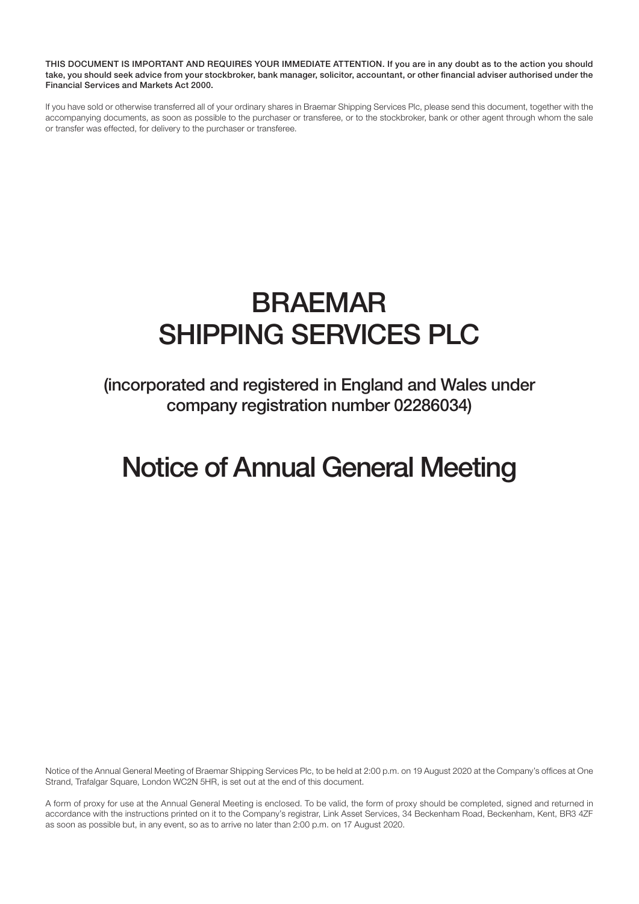THIS DOCUMENT IS IMPORTANT AND REQUIRES YOUR IMMEDIATE ATTENTION. If you are in any doubt as to the action you should take, you should seek advice from your stockbroker, bank manager, solicitor, accountant, or other financial adviser authorised under the Financial Services and Markets Act 2000.

If you have sold or otherwise transferred all of your ordinary shares in Braemar Shipping Services Plc, please send this document, together with the accompanying documents, as soon as possible to the purchaser or transferee, or to the stockbroker, bank or other agent through whom the sale or transfer was effected, for delivery to the purchaser or transferee.

# BRAEMAR SHIPPING SERVICES PLC

(incorporated and registered in England and Wales under company registration number 02286034)

# Notice of Annual General Meeting

Notice of the Annual General Meeting of Braemar Shipping Services Plc, to be held at 2:00 p.m. on 19 August 2020 at the Company's offices at One Strand, Trafalgar Square, London WC2N 5HR, is set out at the end of this document.

A form of proxy for use at the Annual General Meeting is enclosed. To be valid, the form of proxy should be completed, signed and returned in accordance with the instructions printed on it to the Company's registrar, Link Asset Services, 34 Beckenham Road, Beckenham, Kent, BR3 4ZF as soon as possible but, in any event, so as to arrive no later than 2:00 p.m. on 17 August 2020.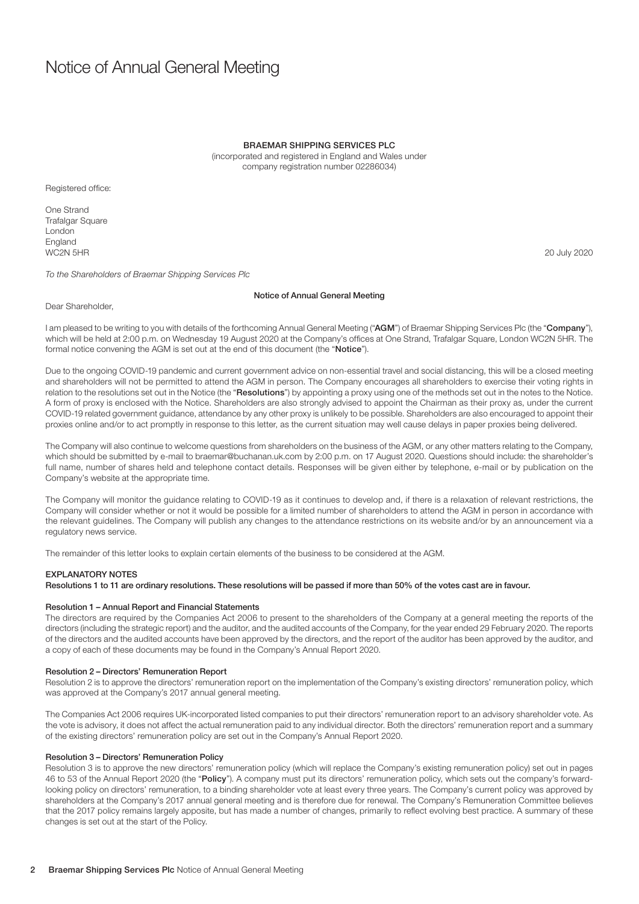# Notice of Annual General Meeting

#### BRAEMAR SHIPPING SERVICES PLC

(incorporated and registered in England and Wales under company registration number 02286034)

Registered office:

One Strand Trafalgar Square London England WC2N 5HR 20 July 2020

To the Shareholders of Braemar Shipping Services Plc

# Notice of Annual General Meeting

Dear Shareholder,

I am pleased to be writing to you with details of the forthcoming Annual General Meeting ("AGM") of Braemar Shipping Services Plc (the "Company"), which will be held at 2:00 p.m. on Wednesday 19 August 2020 at the Company's offices at One Strand, Trafalgar Square, London WC2N 5HR. The formal notice convening the AGM is set out at the end of this document (the "Notice").

Due to the ongoing COVID-19 pandemic and current government advice on non-essential travel and social distancing, this will be a closed meeting and shareholders will not be permitted to attend the AGM in person. The Company encourages all shareholders to exercise their voting rights in relation to the resolutions set out in the Notice (the "Resolutions") by appointing a proxy using one of the methods set out in the notes to the Notice. A form of proxy is enclosed with the Notice. Shareholders are also strongly advised to appoint the Chairman as their proxy as, under the current COVID-19 related government guidance, attendance by any other proxy is unlikely to be possible. Shareholders are also encouraged to appoint their proxies online and/or to act promptly in response to this letter, as the current situation may well cause delays in paper proxies being delivered.

The Company will also continue to welcome questions from shareholders on the business of the AGM, or any other matters relating to the Company, which should be submitted by e-mail to braemar@buchanan.uk.com by 2:00 p.m. on 17 August 2020. Questions should include: the shareholder's full name, number of shares held and telephone contact details. Responses will be given either by telephone, e-mail or by publication on the Company's website at the appropriate time.

The Company will monitor the guidance relating to COVID-19 as it continues to develop and, if there is a relaxation of relevant restrictions, the Company will consider whether or not it would be possible for a limited number of shareholders to attend the AGM in person in accordance with the relevant guidelines. The Company will publish any changes to the attendance restrictions on its website and/or by an announcement via a regulatory news service.

The remainder of this letter looks to explain certain elements of the business to be considered at the AGM.

# EXPLANATORY NOTES

Resolutions 1 to 11 are ordinary resolutions. These resolutions will be passed if more than 50% of the votes cast are in favour.

# Resolution 1 – Annual Report and Financial Statements

The directors are required by the Companies Act 2006 to present to the shareholders of the Company at a general meeting the reports of the directors (including the strategic report) and the auditor, and the audited accounts of the Company, for the year ended 29 February 2020. The reports of the directors and the audited accounts have been approved by the directors, and the report of the auditor has been approved by the auditor, and a copy of each of these documents may be found in the Company's Annual Report 2020.

# Resolution 2 – Directors' Remuneration Report

Resolution 2 is to approve the directors' remuneration report on the implementation of the Company's existing directors' remuneration policy, which was approved at the Company's 2017 annual general meeting.

The Companies Act 2006 requires UK-incorporated listed companies to put their directors' remuneration report to an advisory shareholder vote. As the vote is advisory, it does not affect the actual remuneration paid to any individual director. Both the directors' remuneration report and a summary of the existing directors' remuneration policy are set out in the Company's Annual Report 2020.

#### Resolution 3 – Directors' Remuneration Policy

Resolution 3 is to approve the new directors' remuneration policy (which will replace the Company's existing remuneration policy) set out in pages 46 to 53 of the Annual Report 2020 (the "Policy"). A company must put its directors' remuneration policy, which sets out the company's forwardlooking policy on directors' remuneration, to a binding shareholder vote at least every three years. The Company's current policy was approved by shareholders at the Company's 2017 annual general meeting and is therefore due for renewal. The Company's Remuneration Committee believes that the 2017 policy remains largely apposite, but has made a number of changes, primarily to reflect evolving best practice. A summary of these changes is set out at the start of the Policy.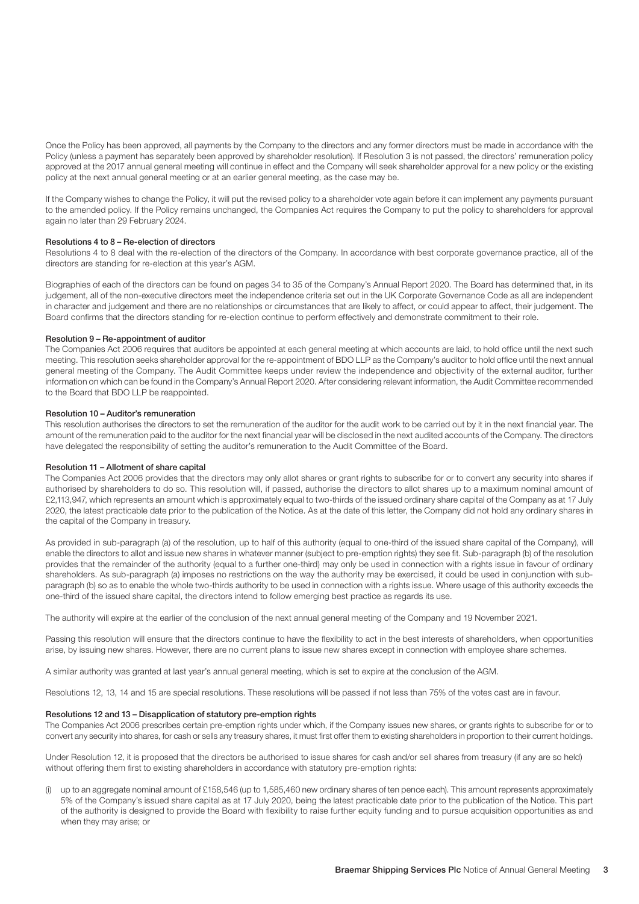Once the Policy has been approved, all payments by the Company to the directors and any former directors must be made in accordance with the Policy (unless a payment has separately been approved by shareholder resolution). If Resolution 3 is not passed, the directors' remuneration policy approved at the 2017 annual general meeting will continue in effect and the Company will seek shareholder approval for a new policy or the existing policy at the next annual general meeting or at an earlier general meeting, as the case may be.

If the Company wishes to change the Policy, it will put the revised policy to a shareholder vote again before it can implement any payments pursuant to the amended policy. If the Policy remains unchanged, the Companies Act requires the Company to put the policy to shareholders for approval again no later than 29 February 2024.

# Resolutions 4 to 8 – Re-election of directors

Resolutions 4 to 8 deal with the re-election of the directors of the Company. In accordance with best corporate governance practice, all of the directors are standing for re-election at this year's AGM.

Biographies of each of the directors can be found on pages 34 to 35 of the Company's Annual Report 2020. The Board has determined that, in its judgement, all of the non-executive directors meet the independence criteria set out in the UK Corporate Governance Code as all are independent in character and judgement and there are no relationships or circumstances that are likely to affect, or could appear to affect, their judgement. The Board confirms that the directors standing for re-election continue to perform effectively and demonstrate commitment to their role.

# Resolution 9 – Re-appointment of auditor

The Companies Act 2006 requires that auditors be appointed at each general meeting at which accounts are laid, to hold office until the next such meeting. This resolution seeks shareholder approval for the re-appointment of BDO LLP as the Company's auditor to hold office until the next annual general meeting of the Company. The Audit Committee keeps under review the independence and objectivity of the external auditor, further information on which can be found in the Company's Annual Report 2020. After considering relevant information, the Audit Committee recommended to the Board that BDO LLP be reappointed.

# Resolution 10 – Auditor's remuneration

This resolution authorises the directors to set the remuneration of the auditor for the audit work to be carried out by it in the next financial year. The amount of the remuneration paid to the auditor for the next financial year will be disclosed in the next audited accounts of the Company. The directors have delegated the responsibility of setting the auditor's remuneration to the Audit Committee of the Board.

# Resolution 11 – Allotment of share capital

The Companies Act 2006 provides that the directors may only allot shares or grant rights to subscribe for or to convert any security into shares if authorised by shareholders to do so. This resolution will, if passed, authorise the directors to allot shares up to a maximum nominal amount of £2,113,947, which represents an amount which is approximately equal to two-thirds of the issued ordinary share capital of the Company as at 17 July 2020, the latest practicable date prior to the publication of the Notice. As at the date of this letter, the Company did not hold any ordinary shares in the capital of the Company in treasury.

As provided in sub-paragraph (a) of the resolution, up to half of this authority (equal to one-third of the issued share capital of the Company), will enable the directors to allot and issue new shares in whatever manner (subject to pre-emption rights) they see fit. Sub-paragraph (b) of the resolution provides that the remainder of the authority (equal to a further one-third) may only be used in connection with a rights issue in favour of ordinary shareholders. As sub-paragraph (a) imposes no restrictions on the way the authority may be exercised, it could be used in conjunction with subparagraph (b) so as to enable the whole two-thirds authority to be used in connection with a rights issue. Where usage of this authority exceeds the one-third of the issued share capital, the directors intend to follow emerging best practice as regards its use.

The authority will expire at the earlier of the conclusion of the next annual general meeting of the Company and 19 November 2021.

Passing this resolution will ensure that the directors continue to have the flexibility to act in the best interests of shareholders, when opportunities arise, by issuing new shares. However, there are no current plans to issue new shares except in connection with employee share schemes.

A similar authority was granted at last year's annual general meeting, which is set to expire at the conclusion of the AGM.

Resolutions 12, 13, 14 and 15 are special resolutions. These resolutions will be passed if not less than 75% of the votes cast are in favour.

#### Resolutions 12 and 13 – Disapplication of statutory pre-emption rights

The Companies Act 2006 prescribes certain pre-emption rights under which, if the Company issues new shares, or grants rights to subscribe for or to convert any security into shares, for cash or sells any treasury shares, it must first offer them to existing shareholders in proportion to their current holdings.

Under Resolution 12, it is proposed that the directors be authorised to issue shares for cash and/or sell shares from treasury (if any are so held) without offering them first to existing shareholders in accordance with statutory pre-emption rights:

(i) up to an aggregate nominal amount of £158,546 (up to 1,585,460 new ordinary shares of ten pence each). This amount represents approximately 5% of the Company's issued share capital as at 17 July 2020, being the latest practicable date prior to the publication of the Notice. This part of the authority is designed to provide the Board with flexibility to raise further equity funding and to pursue acquisition opportunities as and when they may arise; or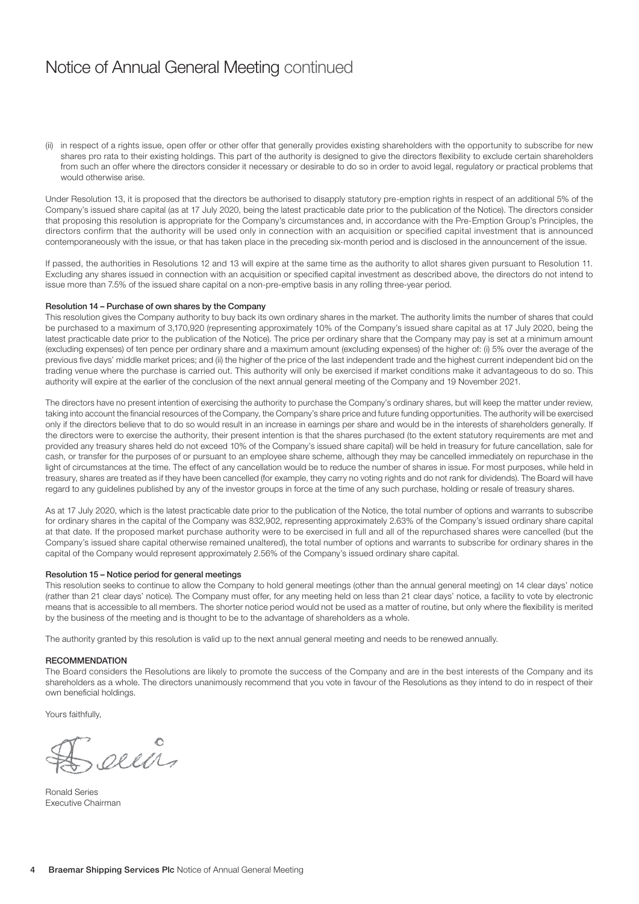# Notice of Annual General Meeting continued

(ii) in respect of a rights issue, open offer or other offer that generally provides existing shareholders with the opportunity to subscribe for new shares pro rata to their existing holdings. This part of the authority is designed to give the directors flexibility to exclude certain shareholders from such an offer where the directors consider it necessary or desirable to do so in order to avoid legal, regulatory or practical problems that would otherwise arise.

Under Resolution 13, it is proposed that the directors be authorised to disapply statutory pre-emption rights in respect of an additional 5% of the Company's issued share capital (as at 17 July 2020, being the latest practicable date prior to the publication of the Notice). The directors consider that proposing this resolution is appropriate for the Company's circumstances and, in accordance with the Pre-Emption Group's Principles, the directors confirm that the authority will be used only in connection with an acquisition or specified capital investment that is announced contemporaneously with the issue, or that has taken place in the preceding six-month period and is disclosed in the announcement of the issue.

If passed, the authorities in Resolutions 12 and 13 will expire at the same time as the authority to allot shares given pursuant to Resolution 11. Excluding any shares issued in connection with an acquisition or specified capital investment as described above, the directors do not intend to issue more than 7.5% of the issued share capital on a non-pre-emptive basis in any rolling three-year period.

# Resolution 14 – Purchase of own shares by the Company

This resolution gives the Company authority to buy back its own ordinary shares in the market. The authority limits the number of shares that could be purchased to a maximum of 3,170,920 (representing approximately 10% of the Company's issued share capital as at 17 July 2020, being the latest practicable date prior to the publication of the Notice). The price per ordinary share that the Company may pay is set at a minimum amount (excluding expenses) of ten pence per ordinary share and a maximum amount (excluding expenses) of the higher of: (i) 5% over the average of the previous five days' middle market prices; and (ii) the higher of the price of the last independent trade and the highest current independent bid on the trading venue where the purchase is carried out. This authority will only be exercised if market conditions make it advantageous to do so. This authority will expire at the earlier of the conclusion of the next annual general meeting of the Company and 19 November 2021.

The directors have no present intention of exercising the authority to purchase the Company's ordinary shares, but will keep the matter under review, taking into account the financial resources of the Company, the Company's share price and future funding opportunities. The authority will be exercised only if the directors believe that to do so would result in an increase in earnings per share and would be in the interests of shareholders generally. If the directors were to exercise the authority, their present intention is that the shares purchased (to the extent statutory requirements are met and provided any treasury shares held do not exceed 10% of the Company's issued share capital) will be held in treasury for future cancellation, sale for cash, or transfer for the purposes of or pursuant to an employee share scheme, although they may be cancelled immediately on repurchase in the light of circumstances at the time. The effect of any cancellation would be to reduce the number of shares in issue. For most purposes, while held in treasury, shares are treated as if they have been cancelled (for example, they carry no voting rights and do not rank for dividends). The Board will have regard to any guidelines published by any of the investor groups in force at the time of any such purchase, holding or resale of treasury shares.

As at 17 July 2020, which is the latest practicable date prior to the publication of the Notice, the total number of options and warrants to subscribe for ordinary shares in the capital of the Company was 832,902, representing approximately 2.63% of the Company's issued ordinary share capital at that date. If the proposed market purchase authority were to be exercised in full and all of the repurchased shares were cancelled (but the Company's issued share capital otherwise remained unaltered), the total number of options and warrants to subscribe for ordinary shares in the capital of the Company would represent approximately 2.56% of the Company's issued ordinary share capital.

# Resolution 15 – Notice period for general meetings

This resolution seeks to continue to allow the Company to hold general meetings (other than the annual general meeting) on 14 clear days' notice (rather than 21 clear days' notice). The Company must offer, for any meeting held on less than 21 clear days' notice, a facility to vote by electronic means that is accessible to all members. The shorter notice period would not be used as a matter of routine, but only where the flexibility is merited by the business of the meeting and is thought to be to the advantage of shareholders as a whole.

The authority granted by this resolution is valid up to the next annual general meeting and needs to be renewed annually.

# **RECOMMENDATION**

The Board considers the Resolutions are likely to promote the success of the Company and are in the best interests of the Company and its shareholders as a whole. The directors unanimously recommend that you vote in favour of the Resolutions as they intend to do in respect of their own beneficial holdings.

Yours faithfully,

o

Ronald Series Executive Chairman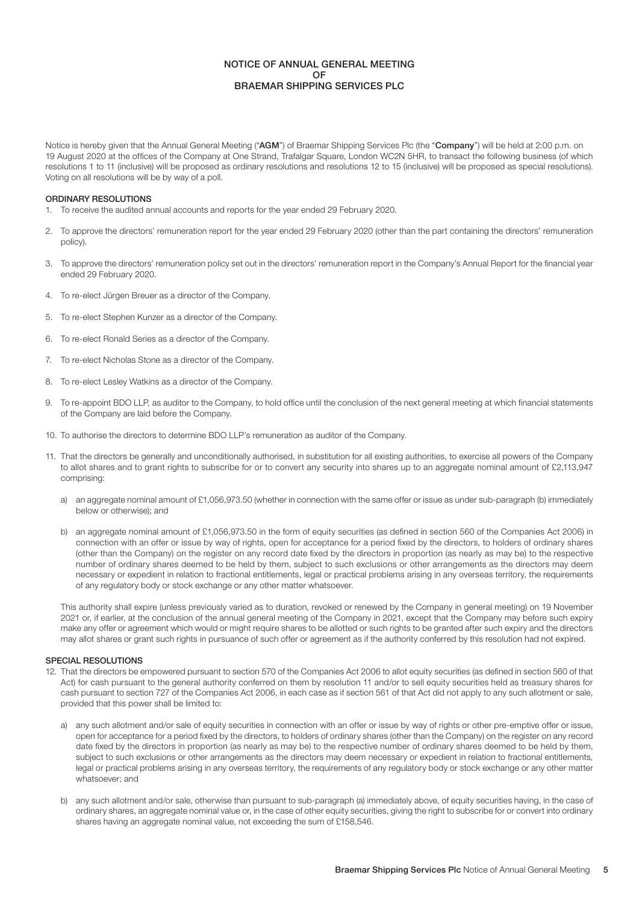# NOTICE OF ANNUAL GENERAL MEETING OF BRAEMAR SHIPPING SERVICES PLC

Notice is hereby given that the Annual General Meeting ("AGM") of Braemar Shipping Services Plc (the "Company") will be held at 2:00 p.m. on 19 August 2020 at the offices of the Company at One Strand, Trafalgar Square, London WC2N 5HR, to transact the following business (of which resolutions 1 to 11 (inclusive) will be proposed as ordinary resolutions and resolutions 12 to 15 (inclusive) will be proposed as special resolutions). Voting on all resolutions will be by way of a poll.

# ORDINARY RESOLUTIONS

- 1. To receive the audited annual accounts and reports for the year ended 29 February 2020.
- 2. To approve the directors' remuneration report for the year ended 29 February 2020 (other than the part containing the directors' remuneration policy).
- 3. To approve the directors' remuneration policy set out in the directors' remuneration report in the Company's Annual Report for the financial year ended 29 February 2020.
- 4. To re-elect Jürgen Breuer as a director of the Company.
- 5. To re-elect Stephen Kunzer as a director of the Company.
- 6. To re-elect Ronald Series as a director of the Company.
- 7. To re-elect Nicholas Stone as a director of the Company.
- 8. To re-elect Lesley Watkins as a director of the Company.
- 9. To re-appoint BDO LLP, as auditor to the Company, to hold office until the conclusion of the next general meeting at which financial statements of the Company are laid before the Company.
- 10. To authorise the directors to determine BDO LLP's remuneration as auditor of the Company.
- 11. That the directors be generally and unconditionally authorised, in substitution for all existing authorities, to exercise all powers of the Company to allot shares and to grant rights to subscribe for or to convert any security into shares up to an aggregate nominal amount of £2,113,947 comprising:
	- a) an aggregate nominal amount of £1,056,973.50 (whether in connection with the same offer or issue as under sub-paragraph (b) immediately below or otherwise); and
	- b) an aggregate nominal amount of £1,056,973.50 in the form of equity securities (as defined in section 560 of the Companies Act 2006) in connection with an offer or issue by way of rights, open for acceptance for a period fixed by the directors, to holders of ordinary shares (other than the Company) on the register on any record date fixed by the directors in proportion (as nearly as may be) to the respective number of ordinary shares deemed to be held by them, subject to such exclusions or other arrangements as the directors may deem necessary or expedient in relation to fractional entitlements, legal or practical problems arising in any overseas territory, the requirements of any regulatory body or stock exchange or any other matter whatsoever.

 This authority shall expire (unless previously varied as to duration, revoked or renewed by the Company in general meeting) on 19 November 2021 or, if earlier, at the conclusion of the annual general meeting of the Company in 2021, except that the Company may before such expiry make any offer or agreement which would or might require shares to be allotted or such rights to be granted after such expiry and the directors may allot shares or grant such rights in pursuance of such offer or agreement as if the authority conferred by this resolution had not expired.

# SPECIAL RESOLUTIONS

- 12. That the directors be empowered pursuant to section 570 of the Companies Act 2006 to allot equity securities (as defined in section 560 of that Act) for cash pursuant to the general authority conferred on them by resolution 11 and/or to sell equity securities held as treasury shares for cash pursuant to section 727 of the Companies Act 2006, in each case as if section 561 of that Act did not apply to any such allotment or sale, provided that this power shall be limited to:
	- a) any such allotment and/or sale of equity securities in connection with an offer or issue by way of rights or other pre-emptive offer or issue, open for acceptance for a period fixed by the directors, to holders of ordinary shares (other than the Company) on the register on any record date fixed by the directors in proportion (as nearly as may be) to the respective number of ordinary shares deemed to be held by them, subject to such exclusions or other arrangements as the directors may deem necessary or expedient in relation to fractional entitlements, legal or practical problems arising in any overseas territory, the requirements of any regulatory body or stock exchange or any other matter whatsoever; and
	- b) any such allotment and/or sale, otherwise than pursuant to sub-paragraph (a) immediately above, of equity securities having, in the case of ordinary shares, an aggregate nominal value or, in the case of other equity securities, giving the right to subscribe for or convert into ordinary shares having an aggregate nominal value, not exceeding the sum of £158,546.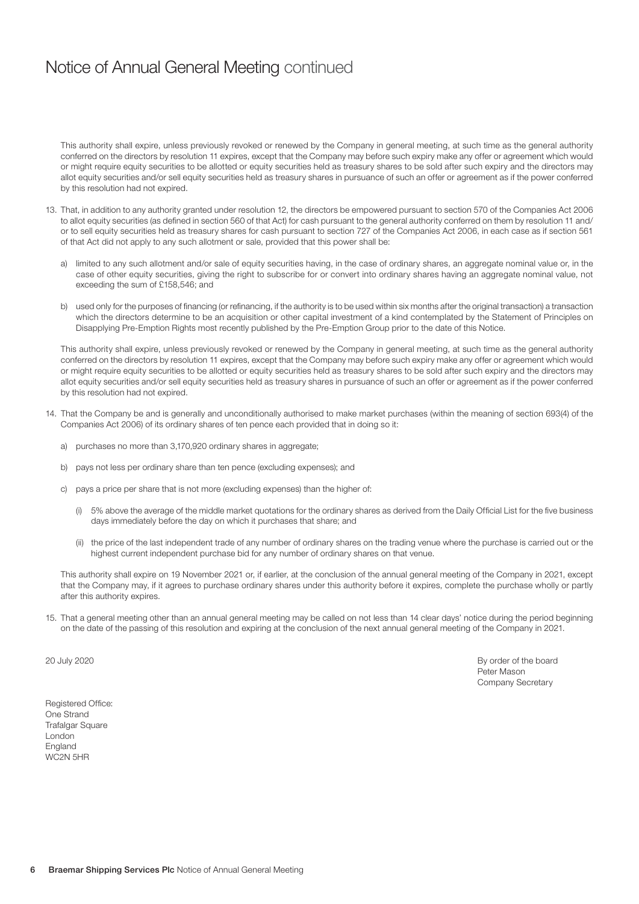# Notice of Annual General Meeting continued

 This authority shall expire, unless previously revoked or renewed by the Company in general meeting, at such time as the general authority conferred on the directors by resolution 11 expires, except that the Company may before such expiry make any offer or agreement which would or might require equity securities to be allotted or equity securities held as treasury shares to be sold after such expiry and the directors may allot equity securities and/or sell equity securities held as treasury shares in pursuance of such an offer or agreement as if the power conferred by this resolution had not expired.

- 13. That, in addition to any authority granted under resolution 12, the directors be empowered pursuant to section 570 of the Companies Act 2006 to allot equity securities (as defined in section 560 of that Act) for cash pursuant to the general authority conferred on them by resolution 11 and/ or to sell equity securities held as treasury shares for cash pursuant to section 727 of the Companies Act 2006, in each case as if section 561 of that Act did not apply to any such allotment or sale, provided that this power shall be:
	- a) limited to any such allotment and/or sale of equity securities having, in the case of ordinary shares, an aggregate nominal value or, in the case of other equity securities, giving the right to subscribe for or convert into ordinary shares having an aggregate nominal value, not exceeding the sum of £158,546; and
	- b) used only for the purposes of financing (or refinancing, if the authority is to be used within six months after the original transaction) a transaction which the directors determine to be an acquisition or other capital investment of a kind contemplated by the Statement of Principles on Disapplying Pre-Emption Rights most recently published by the Pre-Emption Group prior to the date of this Notice.

 This authority shall expire, unless previously revoked or renewed by the Company in general meeting, at such time as the general authority conferred on the directors by resolution 11 expires, except that the Company may before such expiry make any offer or agreement which would or might require equity securities to be allotted or equity securities held as treasury shares to be sold after such expiry and the directors may allot equity securities and/or sell equity securities held as treasury shares in pursuance of such an offer or agreement as if the power conferred by this resolution had not expired.

- 14. That the Company be and is generally and unconditionally authorised to make market purchases (within the meaning of section 693(4) of the Companies Act 2006) of its ordinary shares of ten pence each provided that in doing so it:
	- a) purchases no more than 3,170,920 ordinary shares in aggregate;
	- b) pays not less per ordinary share than ten pence (excluding expenses); and
	- c) pays a price per share that is not more (excluding expenses) than the higher of:
		- (i) 5% above the average of the middle market quotations for the ordinary shares as derived from the Daily Official List for the five business days immediately before the day on which it purchases that share; and
		- (ii) the price of the last independent trade of any number of ordinary shares on the trading venue where the purchase is carried out or the highest current independent purchase bid for any number of ordinary shares on that venue.

 This authority shall expire on 19 November 2021 or, if earlier, at the conclusion of the annual general meeting of the Company in 2021, except that the Company may, if it agrees to purchase ordinary shares under this authority before it expires, complete the purchase wholly or partly after this authority expires.

15. That a general meeting other than an annual general meeting may be called on not less than 14 clear days' notice during the period beginning on the date of the passing of this resolution and expiring at the conclusion of the next annual general meeting of the Company in 2021.

20 July 2020 By order of the board Peter Mason Company Secretary

Registered Office: One Strand Trafalgar Square London England WC2N 5HR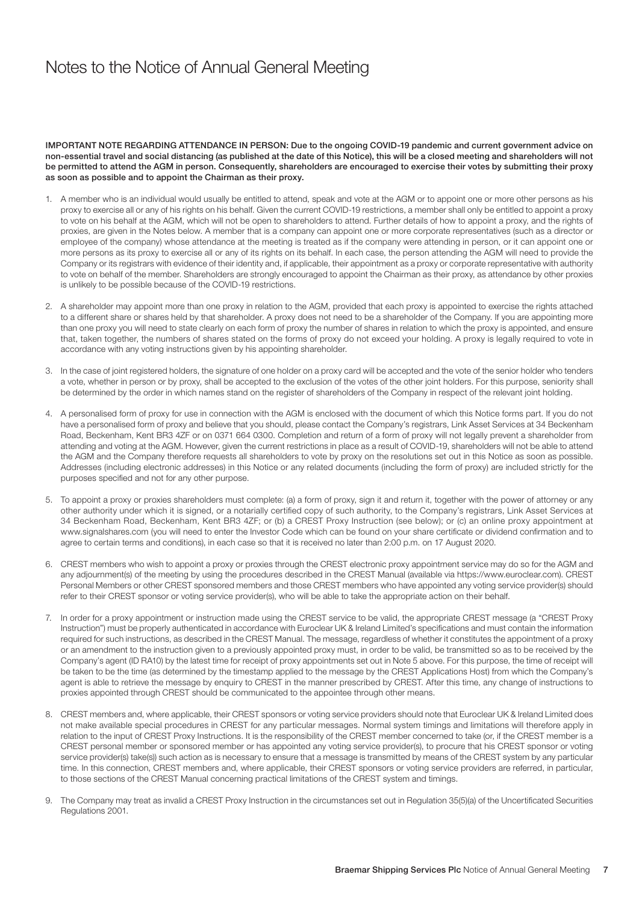# Notes to the Notice of Annual General Meeting

IMPORTANT NOTE REGARDING ATTENDANCE IN PERSON: Due to the ongoing COVID-19 pandemic and current government advice on non-essential travel and social distancing (as published at the date of this Notice), this will be a closed meeting and shareholders will not be permitted to attend the AGM in person. Consequently, shareholders are encouraged to exercise their votes by submitting their proxy as soon as possible and to appoint the Chairman as their proxy.

- 1. A member who is an individual would usually be entitled to attend, speak and vote at the AGM or to appoint one or more other persons as his proxy to exercise all or any of his rights on his behalf. Given the current COVID-19 restrictions, a member shall only be entitled to appoint a proxy to vote on his behalf at the AGM, which will not be open to shareholders to attend. Further details of how to appoint a proxy, and the rights of proxies, are given in the Notes below. A member that is a company can appoint one or more corporate representatives (such as a director or employee of the company) whose attendance at the meeting is treated as if the company were attending in person, or it can appoint one or more persons as its proxy to exercise all or any of its rights on its behalf. In each case, the person attending the AGM will need to provide the Company or its registrars with evidence of their identity and, if applicable, their appointment as a proxy or corporate representative with authority to vote on behalf of the member. Shareholders are strongly encouraged to appoint the Chairman as their proxy, as attendance by other proxies is unlikely to be possible because of the COVID-19 restrictions.
- 2. A shareholder may appoint more than one proxy in relation to the AGM, provided that each proxy is appointed to exercise the rights attached to a different share or shares held by that shareholder. A proxy does not need to be a shareholder of the Company. If you are appointing more than one proxy you will need to state clearly on each form of proxy the number of shares in relation to which the proxy is appointed, and ensure that, taken together, the numbers of shares stated on the forms of proxy do not exceed your holding. A proxy is legally required to vote in accordance with any voting instructions given by his appointing shareholder.
- 3. In the case of joint registered holders, the signature of one holder on a proxy card will be accepted and the vote of the senior holder who tenders a vote, whether in person or by proxy, shall be accepted to the exclusion of the votes of the other joint holders. For this purpose, seniority shall be determined by the order in which names stand on the register of shareholders of the Company in respect of the relevant joint holding.
- 4. A personalised form of proxy for use in connection with the AGM is enclosed with the document of which this Notice forms part. If you do not have a personalised form of proxy and believe that you should, please contact the Company's registrars, Link Asset Services at 34 Beckenham Road, Beckenham, Kent BR3 4ZF or on 0371 664 0300. Completion and return of a form of proxy will not legally prevent a shareholder from attending and voting at the AGM. However, given the current restrictions in place as a result of COVID-19, shareholders will not be able to attend the AGM and the Company therefore requests all shareholders to vote by proxy on the resolutions set out in this Notice as soon as possible. Addresses (including electronic addresses) in this Notice or any related documents (including the form of proxy) are included strictly for the purposes specified and not for any other purpose.
- 5. To appoint a proxy or proxies shareholders must complete: (a) a form of proxy, sign it and return it, together with the power of attorney or any other authority under which it is signed, or a notarially certified copy of such authority, to the Company's registrars, Link Asset Services at 34 Beckenham Road, Beckenham, Kent BR3 4ZF; or (b) a CREST Proxy Instruction (see below); or (c) an online proxy appointment at www.signalshares.com (you will need to enter the Investor Code which can be found on your share certificate or dividend confirmation and to agree to certain terms and conditions), in each case so that it is received no later than 2:00 p.m. on 17 August 2020.
- 6. CREST members who wish to appoint a proxy or proxies through the CREST electronic proxy appointment service may do so for the AGM and any adjournment(s) of the meeting by using the procedures described in the CREST Manual (available via https://www.euroclear.com). CREST Personal Members or other CREST sponsored members and those CREST members who have appointed any voting service provider(s) should refer to their CREST sponsor or voting service provider(s), who will be able to take the appropriate action on their behalf.
- 7. In order for a proxy appointment or instruction made using the CREST service to be valid, the appropriate CREST message (a "CREST Proxy Instruction") must be properly authenticated in accordance with Euroclear UK & Ireland Limited's specifications and must contain the information required for such instructions, as described in the CREST Manual. The message, regardless of whether it constitutes the appointment of a proxy or an amendment to the instruction given to a previously appointed proxy must, in order to be valid, be transmitted so as to be received by the Company's agent (ID RA10) by the latest time for receipt of proxy appointments set out in Note 5 above. For this purpose, the time of receipt will be taken to be the time (as determined by the timestamp applied to the message by the CREST Applications Host) from which the Company's agent is able to retrieve the message by enquiry to CREST in the manner prescribed by CREST. After this time, any change of instructions to proxies appointed through CREST should be communicated to the appointee through other means.
- 8. CREST members and, where applicable, their CREST sponsors or voting service providers should note that Euroclear UK & Ireland Limited does not make available special procedures in CREST for any particular messages. Normal system timings and limitations will therefore apply in relation to the input of CREST Proxy Instructions. It is the responsibility of the CREST member concerned to take (or, if the CREST member is a CREST personal member or sponsored member or has appointed any voting service provider(s), to procure that his CREST sponsor or voting service provider(s) take(s)) such action as is necessary to ensure that a message is transmitted by means of the CREST system by any particular time. In this connection, CREST members and, where applicable, their CREST sponsors or voting service providers are referred, in particular, to those sections of the CREST Manual concerning practical limitations of the CREST system and timings.
- 9. The Company may treat as invalid a CREST Proxy Instruction in the circumstances set out in Regulation 35(5)(a) of the Uncertificated Securities Regulations 2001.